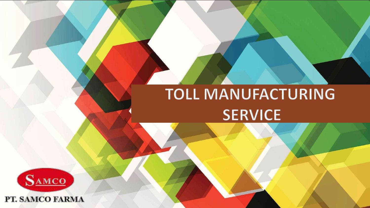### **TOLL MANUFACTURING SERVICE**



PT. SAMCO FARMA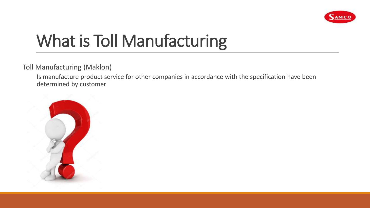

# What is Toll Manufacturing

Toll Manufacturing (Maklon)

Is manufacture product service for other companies in accordance with the specification have been determined by customer

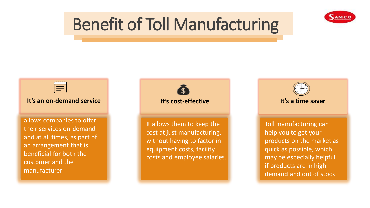

## Benefit of Toll Manufacturing

 $\equiv$ 

### **It's an on-demand service**

allows companies to offer their services on-demand and at all times, as part of an arrangement that is beneficial for both the customer and the manufacturer

**It's cost-effective It's a time saver**

It allows them to keep the cost at just manufacturing, without having to factor in equipment costs, facility costs and employee salaries.

Toll manufacturing can help you to get your products on the market as quick as possible, which may be especially helpful if products are in high demand and out of stock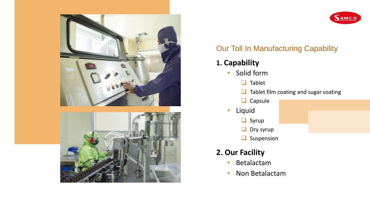

### **SAMCO**

### Our Toll In Manufacturing Capability

- **1. Capability**
	- Solid form
		- $\Box$  Tablet
		- $\Box$  Tablet film coating and sugar coating
		- $\Box$  Capsule
	- Liquid
		- Syrup
		- $\Box$  Dry syrup
		- $\Box$  Suspension

### **2. Our Facility**

- Betalactam
- Non Betalactam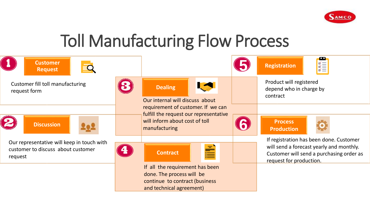

### Toll Manufacturing Flow Process

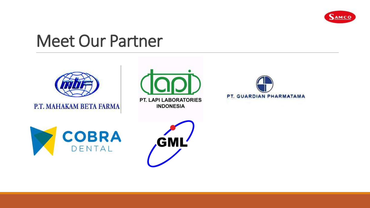

### Meet Our Partner



P.T. MAHAKAM BETA FARMA